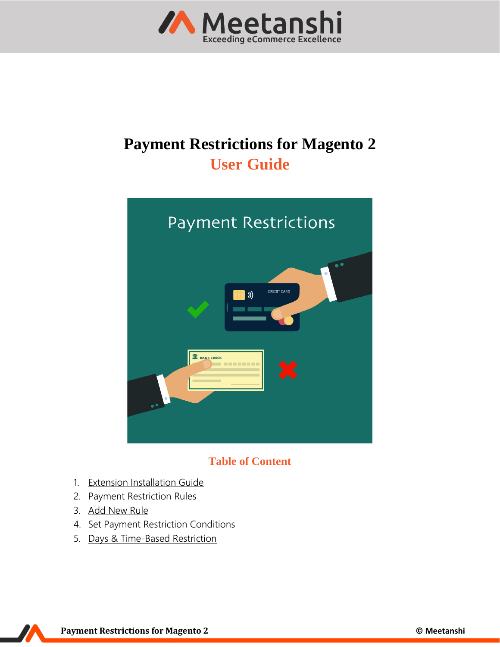

# **Payment Restrictions for Magento 2 User Guide**



## **Table of Content**

- 1. [Extension Installation Guide](#page-1-0)
- 2. [Payment Restriction Rules](#page-1-1)
- 3. [Add New Rule](#page-2-0)
- 4. [Set Payment Restriction Conditions](#page-3-0)
- 5. [Days & Time-Based Restriction](#page-3-1)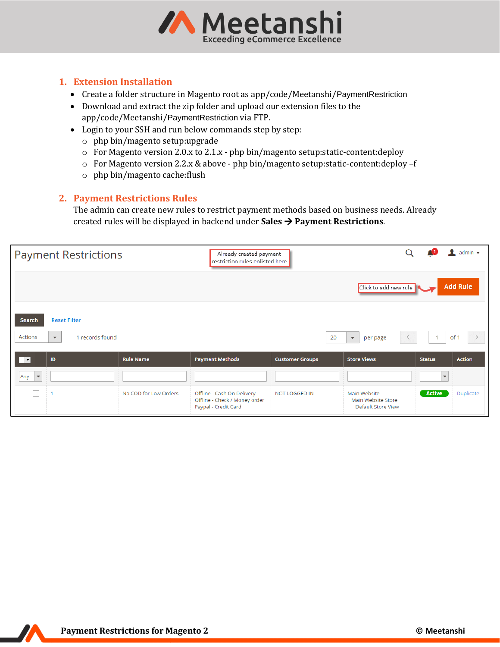

#### <span id="page-1-0"></span>**1. Extension Installation**

- Create a folder structure in Magento root as app/code/Meetanshi/PaymentRestriction
- Download and extract the zip folder and upload our extension files to the app/code/Meetanshi/PaymentRestriction via FTP.
- Login to your SSH and run below commands step by step:
	- o php bin/magento setup:upgrade
	- $\circ$  For Magento version 2.0.x to 2.1.x php bin/magento setup: static-content: deploy
	- o For Magento version 2.2.x & above php bin/magento setup:static-content:deploy –f
	- o php bin/magento cache:flush

### <span id="page-1-1"></span>**2. Payment Restrictions Rules**

The admin can create new rules to restrict payment methods based on business needs. Already created rules will be displayed in backend under **Sales**  $\rightarrow$  **Payment Restrictions**.

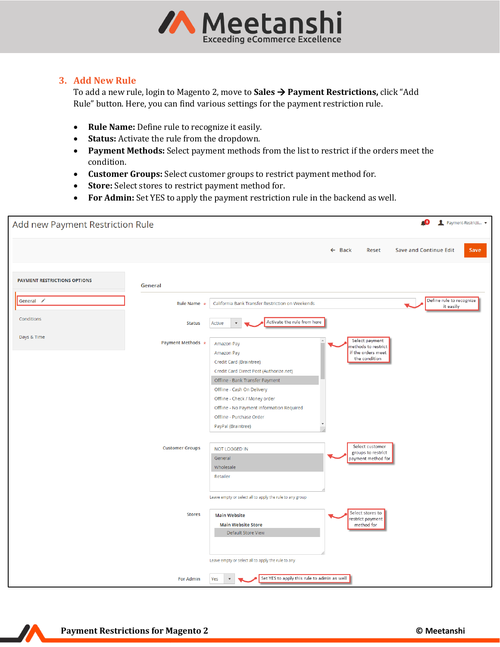

#### <span id="page-2-0"></span>**3. Add New Rule**

To add a new rule, login to Magento 2, move to **Sales** → **Payment Restrictions,** click "Add Rule" button. Here, you can find various settings for the payment restriction rule.

- **Rule Name:** Define rule to recognize it easily.
- **Status:** Activate the rule from the dropdown.
- **Payment Methods:** Select payment methods from the list to restrict if the orders meet the condition.
- **Customer Groups:** Select customer groups to restrict payment method for.
- **Store:** Select stores to restrict payment method for.
- **For Admin:** Set YES to apply the payment restriction rule in the backend as well.

| Add new Payment Restriction Rule    |                                             |                                                                                                                                                                                                                                                                                                                                                             |                                                                                                                                             | Æ8<br>Payment-Restricti               |
|-------------------------------------|---------------------------------------------|-------------------------------------------------------------------------------------------------------------------------------------------------------------------------------------------------------------------------------------------------------------------------------------------------------------------------------------------------------------|---------------------------------------------------------------------------------------------------------------------------------------------|---------------------------------------|
|                                     |                                             |                                                                                                                                                                                                                                                                                                                                                             | $\leftarrow$ Back<br>Reset                                                                                                                  | <b>Save and Continue Edit</b><br>Save |
| <b>PAYMENT RESTRICTIONS OPTIONS</b> | General                                     |                                                                                                                                                                                                                                                                                                                                                             |                                                                                                                                             |                                       |
| General /                           | <b>Rule Name</b><br>$\star$                 | California Bank Transfer Restriction on Weekends                                                                                                                                                                                                                                                                                                            |                                                                                                                                             | Define rule to recognize<br>it easily |
| Conditions                          | <b>Status</b>                               | Activate the rule from here<br>Active<br>$\blacktriangledown$                                                                                                                                                                                                                                                                                               |                                                                                                                                             |                                       |
| Days & Time                         | Payment Methods *<br><b>Customer Groups</b> | Amazon Pay<br>Amazon Pay<br>Credit Card (Braintree)<br>Credit Card Direct Post (Authorize.net)<br>Offline - Bank Transfer Payment<br>Offline - Cash On Delivery<br>Offline - Check / Money order<br>Offline - No Payment Information Required<br>Offline - Purchase Order<br>PayPal (Braintree)<br><b>NOT LOGGED IN</b><br>General<br>Wholesale<br>Retailer | Select payment<br>methods to restrict<br>if the orders meet<br>the condition<br>Select customer<br>groups to restrict<br>payment method for |                                       |
|                                     |                                             | Leave empty or select all to apply the rule to any group                                                                                                                                                                                                                                                                                                    |                                                                                                                                             |                                       |
|                                     | <b>Stores</b>                               | <b>Main Website</b><br><b>Main Website Store</b><br>Default Store View                                                                                                                                                                                                                                                                                      | Select stores to<br>restrict payment<br>method for                                                                                          |                                       |
|                                     |                                             | Leave empty or select all to apply the rule to any                                                                                                                                                                                                                                                                                                          |                                                                                                                                             |                                       |
|                                     | <b>For Admin</b>                            | Set YES to apply this rule to admin as well<br>Yes<br>$\blacktriangledown$                                                                                                                                                                                                                                                                                  |                                                                                                                                             |                                       |